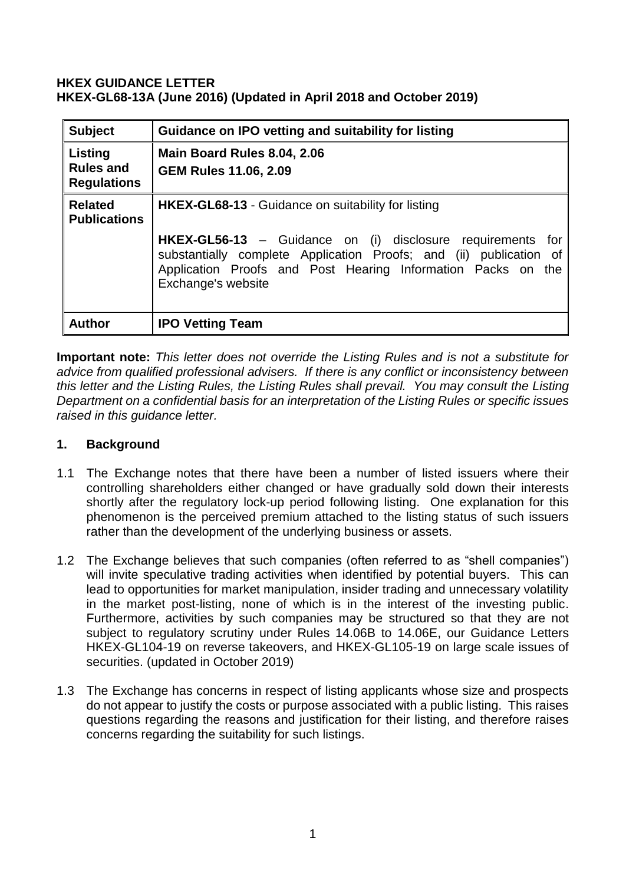#### **HKEX GUIDANCE LETTER HKEX-GL68-13A (June 2016) (Updated in April 2018 and October 2019)**

| <b>Subject</b>                                           | Guidance on IPO vetting and suitability for listing                                                                                                                                                                       |
|----------------------------------------------------------|---------------------------------------------------------------------------------------------------------------------------------------------------------------------------------------------------------------------------|
| <b>Listing</b><br><b>Rules and</b><br><b>Regulations</b> | Main Board Rules 8.04, 2.06<br><b>GEM Rules 11.06, 2.09</b>                                                                                                                                                               |
| <b>Related</b><br><b>Publications</b>                    | <b>HKEX-GL68-13 - Guidance on suitability for listing</b>                                                                                                                                                                 |
|                                                          | HKEX-GL56-13 - Guidance on (i) disclosure requirements<br>for<br>substantially complete Application Proofs; and (ii) publication of<br>Application Proofs and Post Hearing Information Packs on the<br>Exchange's website |
| <b>Author</b>                                            | <b>IPO Vetting Team</b>                                                                                                                                                                                                   |

**Important note:** *This letter does not override the Listing Rules and is not a substitute for advice from qualified professional advisers. If there is any conflict or inconsistency between this letter and the Listing Rules, the Listing Rules shall prevail. You may consult the Listing Department on a confidential basis for an interpretation of the Listing Rules or specific issues raised in this guidance letter.*

# **1. Background**

- 1.1 The Exchange notes that there have been a number of listed issuers where their controlling shareholders either changed or have gradually sold down their interests shortly after the regulatory lock-up period following listing. One explanation for this phenomenon is the perceived premium attached to the listing status of such issuers rather than the development of the underlying business or assets.
- 1.2 The Exchange believes that such companies (often referred to as "shell companies") will invite speculative trading activities when identified by potential buyers. This can lead to opportunities for market manipulation, insider trading and unnecessary volatility in the market post-listing, none of which is in the interest of the investing public. Furthermore, activities by such companies may be structured so that they are not subject to regulatory scrutiny under Rules 14.06B to 14.06E, our Guidance Letters HKEX-GL104-19 on reverse takeovers, and HKEX-GL105-19 on large scale issues of securities. (updated in October 2019)
- 1.3 The Exchange has concerns in respect of listing applicants whose size and prospects do not appear to justify the costs or purpose associated with a public listing. This raises questions regarding the reasons and justification for their listing, and therefore raises concerns regarding the suitability for such listings.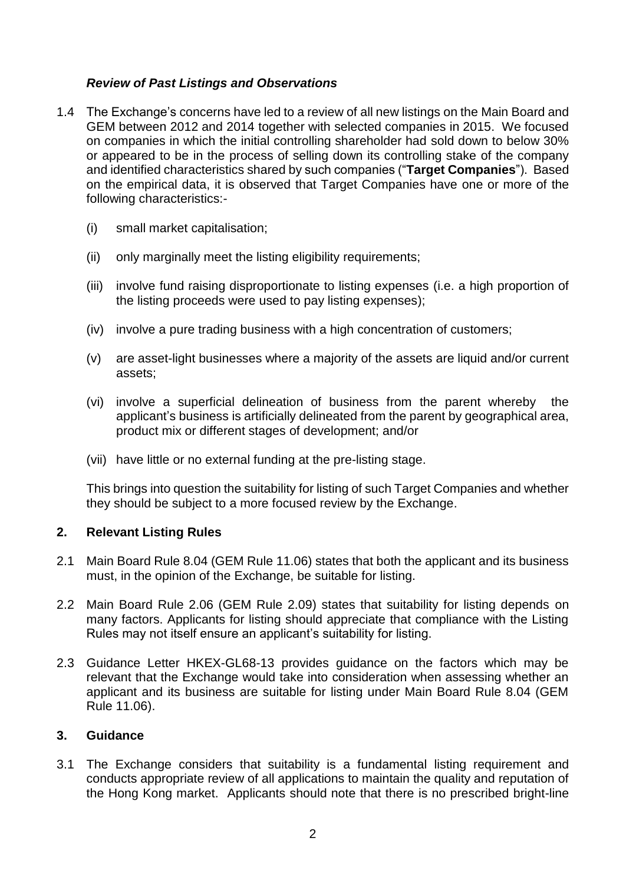# *Review of Past Listings and Observations*

- 1.4 The Exchange's concerns have led to a review of all new listings on the Main Board and GEM between 2012 and 2014 together with selected companies in 2015. We focused on companies in which the initial controlling shareholder had sold down to below 30% or appeared to be in the process of selling down its controlling stake of the company and identified characteristics shared by such companies ("**Target Companies**"). Based on the empirical data, it is observed that Target Companies have one or more of the following characteristics:-
	- (i) small market capitalisation;
	- (ii) only marginally meet the listing eligibility requirements;
	- (iii) involve fund raising disproportionate to listing expenses (i.e. a high proportion of the listing proceeds were used to pay listing expenses);
	- (iv) involve a pure trading business with a high concentration of customers;
	- (v) are asset-light businesses where a majority of the assets are liquid and/or current assets;
	- (vi) involve a superficial delineation of business from the parent whereby the applicant's business is artificially delineated from the parent by geographical area, product mix or different stages of development; and/or
	- (vii) have little or no external funding at the pre-listing stage.

This brings into question the suitability for listing of such Target Companies and whether they should be subject to a more focused review by the Exchange.

# **2. Relevant Listing Rules**

- 2.1 Main Board Rule 8.04 (GEM Rule 11.06) states that both the applicant and its business must, in the opinion of the Exchange, be suitable for listing.
- 2.2 Main Board Rule 2.06 (GEM Rule 2.09) states that suitability for listing depends on many factors. Applicants for listing should appreciate that compliance with the Listing Rules may not itself ensure an applicant's suitability for listing.
- 2.3 Guidance Letter HKEX-GL68-13 provides guidance on the factors which may be relevant that the Exchange would take into consideration when assessing whether an applicant and its business are suitable for listing under Main Board Rule 8.04 (GEM Rule 11.06).

# **3. Guidance**

3.1 The Exchange considers that suitability is a fundamental listing requirement and conducts appropriate review of all applications to maintain the quality and reputation of the Hong Kong market. Applicants should note that there is no prescribed bright-line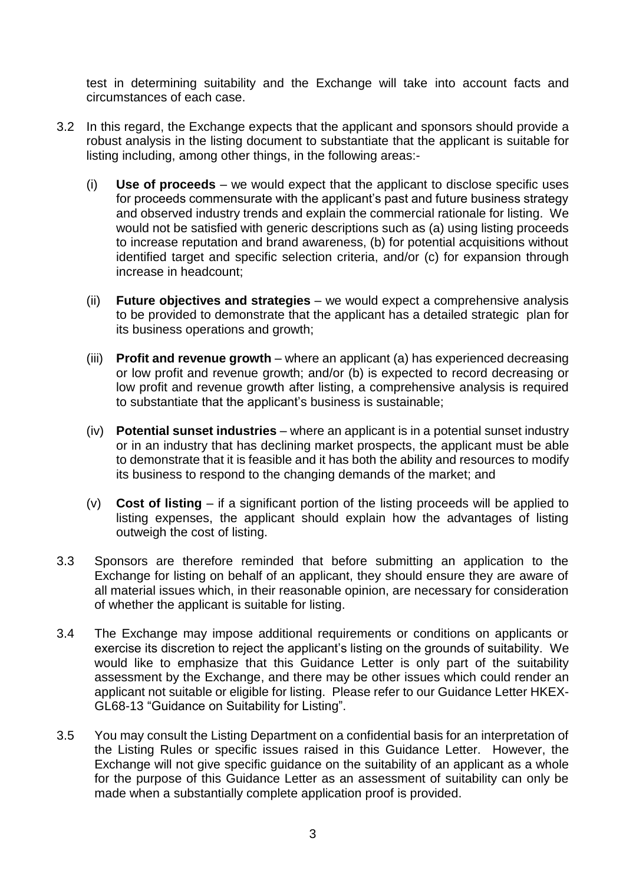test in determining suitability and the Exchange will take into account facts and circumstances of each case.

- 3.2 In this regard, the Exchange expects that the applicant and sponsors should provide a robust analysis in the listing document to substantiate that the applicant is suitable for listing including, among other things, in the following areas:-
	- (i) **Use of proceeds**  we would expect that the applicant to disclose specific uses for proceeds commensurate with the applicant's past and future business strategy and observed industry trends and explain the commercial rationale for listing. We would not be satisfied with generic descriptions such as (a) using listing proceeds to increase reputation and brand awareness, (b) for potential acquisitions without identified target and specific selection criteria, and/or (c) for expansion through increase in headcount;
	- (ii) **Future objectives and strategies** we would expect a comprehensive analysis to be provided to demonstrate that the applicant has a detailed strategic plan for its business operations and growth;
	- (iii) **Profit and revenue growth**  where an applicant (a) has experienced decreasing or low profit and revenue growth; and/or (b) is expected to record decreasing or low profit and revenue growth after listing, a comprehensive analysis is required to substantiate that the applicant's business is sustainable;
	- (iv) **Potential sunset industries** where an applicant is in a potential sunset industry or in an industry that has declining market prospects, the applicant must be able to demonstrate that it is feasible and it has both the ability and resources to modify its business to respond to the changing demands of the market; and
	- (v) **Cost of listing** if a significant portion of the listing proceeds will be applied to listing expenses, the applicant should explain how the advantages of listing outweigh the cost of listing.
- 3.3 Sponsors are therefore reminded that before submitting an application to the Exchange for listing on behalf of an applicant, they should ensure they are aware of all material issues which, in their reasonable opinion, are necessary for consideration of whether the applicant is suitable for listing.
- 3.4 The Exchange may impose additional requirements or conditions on applicants or exercise its discretion to reject the applicant's listing on the grounds of suitability. We would like to emphasize that this Guidance Letter is only part of the suitability assessment by the Exchange, and there may be other issues which could render an applicant not suitable or eligible for listing. Please refer to our Guidance Letter HKEX-GL68-13 "Guidance on Suitability for Listing".
- 3.5 You may consult the Listing Department on a confidential basis for an interpretation of the Listing Rules or specific issues raised in this Guidance Letter. However, the Exchange will not give specific guidance on the suitability of an applicant as a whole for the purpose of this Guidance Letter as an assessment of suitability can only be made when a substantially complete application proof is provided.